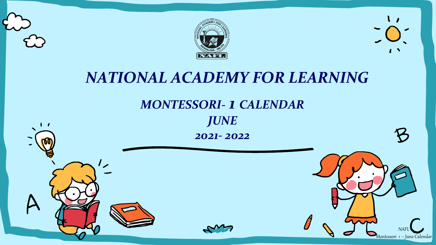

# *NATIONAL ACADEMY FOR LEARNING*



# *JUNE*

*2021- 2022*



NAFL Montessori 1 – June Calendar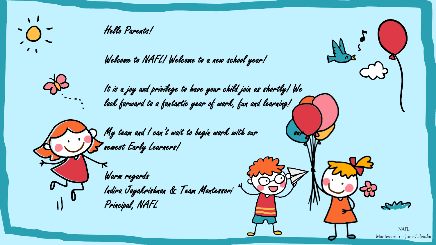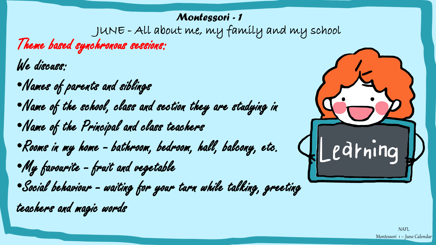## *Montessori - 1*

JUNE - All about me, my family and my school

Theme based synchronous sessions:

We discuss:

•Names of parents and siblings •Name of the school, class and section they are studying in •Name of the Principal and class teachers •Rooms in my home - bathroom, bedroom, hall, balcony, etc. •My favourite - fruit and vegetable •Social behaviour - waiting for your turn while talking, greeting teachers and magic words

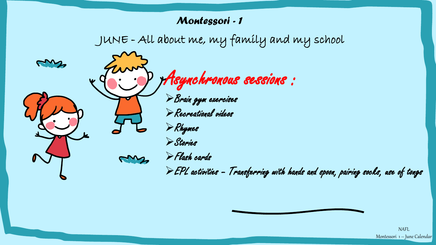#### *Montessori - 1*





NAFL Montessori 1 – June Calendar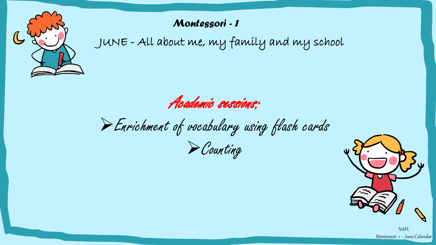

### *Montessori - 1*

JUNE - All about me, my family and my school

Academic sessions:

➢Enrichment of vocabulary using flash cards

➢Counting



NAFL Montessori 1 – June Calendar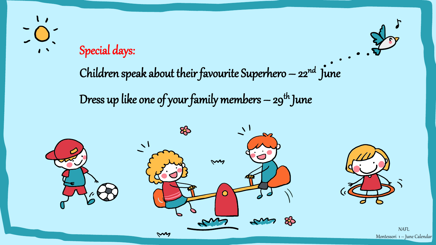## Special days:

Children speak about their favourite Superhero  $-22^{nd}$  June

Dress up like one of your family members  $-$  29<sup>th</sup> June